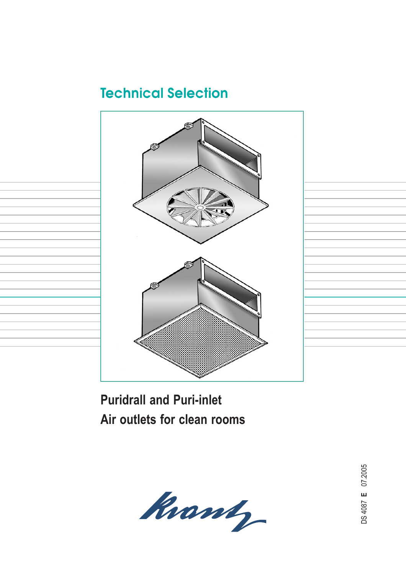# **Technical Selection**



**Puridrall and Puri-inlet Air outlets for clean rooms**



07.2005  $E$  07.2005 **E**DS 4087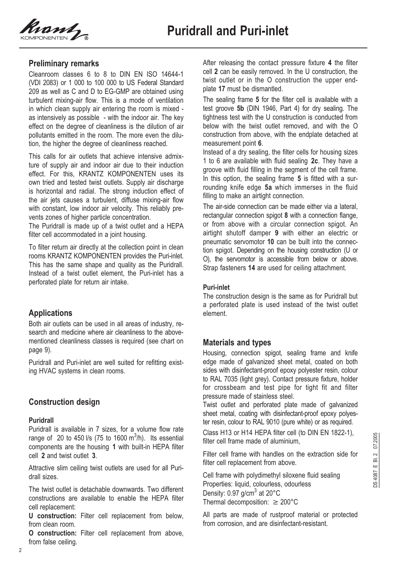

### **Preliminary remarks**

Cleanroom classes 6 to 8 to DIN EN ISO 14644-1 (VDI 2083) or 1 000 to 100 000 to US Federal Standard 209 as well as C and D to EG-GMP are obtained using turbulent mixing-air flow. This is a mode of ventilation in which clean supply air entering the room is mixed as intensively as possible - with the indoor air. The key effect on the degree of cleanliness is the dilution of air pollutants emitted in the room. The more even the dilution, the higher the degree of cleanliness reached.

This calls for air outlets that achieve intensive admixture of supply air and indoor air due to their induction effect. For this, KRANTZ KOMPONENTEN uses its own tried and tested twist outlets. Supply air discharge is horizontal and radial. The strong induction effect of the air jets causes a turbulent, diffuse mixing-air flow with constant, low indoor air velocity. This reliably prevents zones of higher particle concentration.

The Puridrall is made up of a twist outlet and a HEPA filter cell accommodated in a joint housing.

To filter return air directly at the collection point in clean rooms KRANTZ KOMPONENTEN provides the Puri-inlet. This has the same shape and quality as the Puridrall. Instead of a twist outlet element, the Puri-inlet has a perforated plate for return air intake.

## **Applications**

Both air outlets can be used in all areas of industry, research and medicine where air cleanliness to the abovementioned cleanliness classes is required (see chart on page 9).

Puridrall and Puri-inlet are well suited for refitting existing HVAC systems in clean rooms.

### **Construction design**

### **Puridrall**

Puridrall is available in 7 sizes, for a volume flow rate range of 20 to 450 l/s (75 to 1600 m $3$ /h). Its essential components are the housing **1** with built-in HEPA filter cell **2** and twist outlet **3**.

Attractive slim ceiling twist outlets are used for all Puridrall sizes.

The twist outlet is detachable downwards. Two different constructions are available to enable the HEPA filter cell replacement:

**U construction:** Filter cell replacement from below, from clean room.

**O construction:** Filter cell replacement from above, from false ceiling.

After releasing the contact pressure fixture **4** the filter cell **2** can be easily removed. In the U construction, the twist outlet or in the O construction the upper endplate **17** must be dismantled.

The sealing frame **5** for the filter cell is available with a test groove **5b** (DIN 1946, Part 4) for dry sealing. The tightness test with the U construction is conducted from below with the twist outlet removed, and with the O construction from above, with the endplate detached at measurement point **6**.

Instead of a dry sealing, the filter cells for housing sizes 1 to 6 are available with fluid sealing **2c**. They have a groove with fluid filling in the segment of the cell frame. In this option, the sealing frame **5** is fitted with a surrounding knife edge **5a** which immerses in the fluid filling to make an airtight connection.

The air-side connection can be made either via a lateral, rectangular connection spigot **8** with a connection flange, or from above with a circular connection spigot. An airtight shutoff damper **9** with either an electric or pneumatic servomotor **10** can be built into the connection spigot. Depending on the housing construction (U or O), the servomotor is accessible from below or above. Strap fasteners **14** are used for ceiling attachment.

### **Puri-inlet**

The construction design is the same as for Puridrall but a perforated plate is used instead of the twist outlet element.

### **Materials and types**

Housing, connection spigot, sealing frame and knife edge made of galvanized sheet metal, coated on both sides with disinfectant-proof epoxy polyester resin, colour to RAL 7035 (light grey). Contact pressure fixture, holder for crossbeam and test pipe for tight fit and filter pressure made of stainless steel.

Twist outlet and perforated plate made of galvanized sheet metal, coating with disinfectant-proof epoxy polyester resin, colour to RAL 9010 (pure white) or as required.

Class H13 or H14 HEPA filter cell (to DIN EN 1822-1), filter cell frame made of aluminium,

Filter cell frame with handles on the extraction side for filter cell replacement from above.

Cell frame with polydimethyl siloxene fluid sealing Properties: liquid, colourless, odourless Density:  $0.97$  g/cm<sup>3</sup> at 20 $^{\circ}$ C Thermal decomposition:  $\geq 200^{\circ}$ C

All parts are made of rustproof material or protected from corrosion, and are disinfectant-resistant.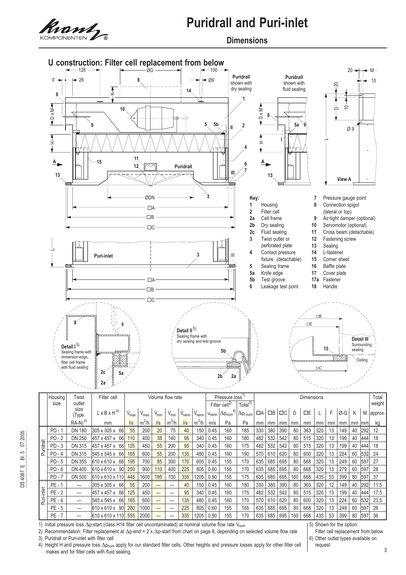

### **Dimensions**



|            | Housing  | l wist<br>Hilter cell<br>Volume flow rate |                                |                          |                 |                          |           | Pressure loss"<br>Dimensions |            |                           |                    |                            |     |          |          |     | I otal    |     |    |     |             |        |           |
|------------|----------|-------------------------------------------|--------------------------------|--------------------------|-----------------|--------------------------|-----------|------------------------------|------------|---------------------------|--------------------|----------------------------|-----|----------|----------|-----|-----------|-----|----|-----|-------------|--------|-----------|
| size       |          | outlet                                    |                                |                          |                 |                          |           |                              |            | Filter cell <sup>2)</sup> | Total $^{3)}$      |                            |     |          |          |     |           |     |    |     |             | weight |           |
|            |          | size<br>(Type                             | $L \times B \times H^{4}$      | V <sub>max</sub>         | $\dot{V}_{max}$ | $V_{\text{min}}$         | $V_{min}$ | V <sub>nenn</sub>            | $V_{nenn}$ | $u_{nenn}$                | $ \Delta p_{nom} $ | $\Delta p_{t\,\text{nom}}$ | ПA  | $\Box$ B | $\Box C$ |     | <b>DE</b> |     | F  | Ø-G | K           |        | M approx. |
|            |          | $RA-N)^{6}$                               | mm                             | $\mathsf{II}_\mathbf{S}$ | $m^3/h$         | $\sqrt{s}$               | $m^3/h$   | $\sqrt{s}$                   | $m^3/h$    | m/s                       | Pa                 | Pa                         | mm  | mm       | mm       | mm  | mm        | mm  | mm | mm  | $mm$   $mm$ |        | kg        |
| Puridrall  | $PD - 1$ | <b>DN 180</b>                             | 305 x 305 x<br>66              | 55                       | 200             | 20                       | 75        | 40                           | 150        | 0.45                      | 160                | 185                        | 330 | 380      | 390      | 80  | 363       | 320 | 13 | 149 | 40          | 292    | 12        |
|            | $PD - 2$ | <b>DN 250</b>                             | 457 x 457 x<br>-66             | 110                      | 400             | 38                       | 140       | 95                           | 340        | 0.45                      | 160                | 180                        | 482 | 532      | 542      | 80  | 515       | 320 | 13 | 199 | 40          | 444    | 18        |
|            | $PD-3$   | DN 315                                    | 457 x 457 x<br>66              | 125                      | 450             | 55                       | 200       | 95                           | 340        | 0.45                      | 160                | 175                        | 482 | 532      | 542      | 80  | 515       | 320 | 13 | 199 | 40          | 444    | 18        |
|            | $PD - 4$ | <b>DN 315</b>                             | 545 x 545 x<br>66              | 165                      | 600             | 55                       | 200       | 135                          | 480        | 0.45                      | 160                | 190                        | 570 | 610      | 620      | 80  | 600       | 320 | 13 | 224 | 60          | 532    | 24        |
|            | $PD - 5$ | <b>DN 355</b>                             | $610 \times 610 \times$<br>66  | 195                      | 700             | 85                       | 300       | 170                          | 605        | 0.45                      | 155                | 170                        | 635 | 685      | 695      | 80  | 668       | 320 | 13 | 249 | 60          | 597    | 27        |
|            | $PD - 6$ | DN 400                                    | 610 x 610 x<br>-90             | 250                      | 900             | 110                      | 400       | 225                          | 805        | 0.60                      | 155                | 170                        | 635 | 685      | 695      | 80  | 668       | 320 | 13 | 279 | 60          | 1597   | 28        |
|            | $PD - 7$ | <b>DN 500</b>                             | 610 x 610 x 110                | 445                      | 1600            | 195                      | 700       | 335                          | 1205       | 0.90                      | 155                | 175                        | 635 | 685      | 695      | 160 | 668       | 435 | 53 | 399 | 80          | 597    | 37        |
|            | $PE - 1$ |                                           | 305 x 305 x<br>66              | 55                       | 200             | $\overline{\phantom{0}}$ |           | 40                           | 150        | 0.45                      | 160                | 180                        | 330 | 380      | 390      | 80  | 363       | 320 | 12 | 149 | 40          | 292    | 11.5      |
| Puri-inlet | $PE - 2$ | $\overline{\phantom{0}}$                  | 457 x 457 x<br>66              | 125                      | 450             | —                        |           | 95                           | 340        | 0.45                      | 160                | 175                        | 482 | 532      | 542      | 80  | 515       | 320 | 13 | 199 | 40          | 444    | 17.5      |
|            | $PE - 4$ | $\overline{\phantom{0}}$                  | 545 x 545 x<br>66              | 165                      | 600             | —                        |           | 135                          | 480        | 0.45                      | 160                | 170                        | 570 | 610      | 620      | 80  | 600       | 320 | 13 | 224 | 60          | 532    | 23.5      |
|            | $PE - 5$ | $\overbrace{\phantom{12333}}$             | $610 \times 610 \times$<br>-90 | 280                      | 1000            | —                        |           | 225                          | 805        | 0.60                      | 155                | 165                        | 635 | 685      | 695      | 80  | 668       | 320 | 13 | 249 | 60          | 597    | 26        |
|            | $PE - 7$ |                                           | 610 x 610 x 110                | 555                      | 2000            |                          |           | 335                          | 1205       | 0.90                      | 155                | 170                        | 635 | 685      | 695      | 160 | 668       | 435 | 53 | 399 | 80          | 15971  | 36        |

1) Initial pressure loss  $\Delta p$ -start (class H14 filter cell uncontaminated) at nominal volume flow rate  $V_{\text{nom}}$ 

2) Recommendation: Filter replacement at  $\Delta p$ -end = 2 x  $\Delta p$ -start from chart on page 8, depending on selected volume flow rate

5) Shown for the option:<br>Filter cell replacement from below

3) Puridrall or Puri-inlet with filter cell<br>4) Height H and pressure loss  $\Delta p_{\text{nom}}$  apply for our standard filter cells. Other heights and pressure losses apply for other filter cell enduest 4) Height H and pressure loss  $\Delta p_{nom}$  apply for our standard filter cells. Other heights and pressure losses apply for other filter cell makes and for filter cells with fluid sealing.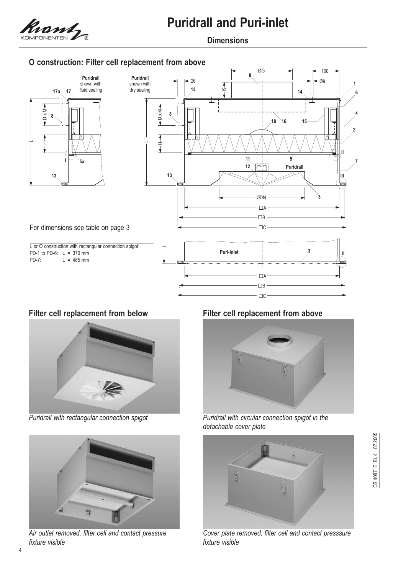

## **Dimensions**

# **O construction: Filter cell replacement from above**





*Puridrall with rectangular connection spigot*



*Air outlet removed, filter cell and contact pressure fixture visible*

## **Filter cell replacement from below Filter cell replacement from above**



*Puridrall with circular connection spigot in the detachable cover plate*



*Cover plate removed, filter cell and contact presssure fixture visible*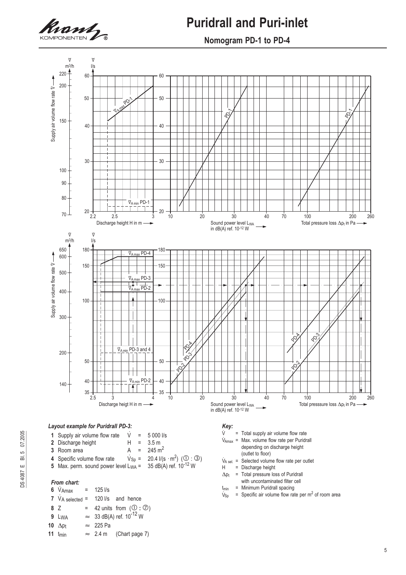

### **Nomogram PD-1 to PD-4**



- 
- $t_{\text{min}}$  = Minimum Puridrall spacing<br> $V_{\text{Sp}}$  = Specific air volume flow rat
- = Specific air volume flow rate per  $m^2$  of room area

- **8** Z = 42 units from  $(\mathbb{O}: \mathbb{O})$ **9** Lwa  $\approx$  33 dB(A) ref. 10<sup>-12</sup> W
- 
- 10  $\Delta p_t$  $\approx$  225 Pa
- **11**  $t_{min} \approx 2.4 \text{ m}$  (Chart page 7)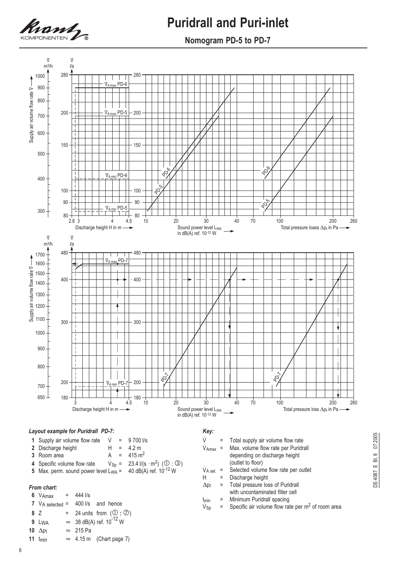

**Nomogram PD-5 to PD-7**

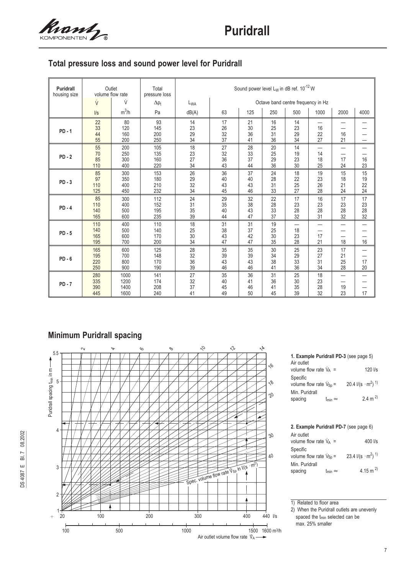

# **Total pressure loss and sound power level for Puridrall**

| <b>Puridrall</b><br>housing size | volume flow rate         | Outlet                       | Total<br>pressure loss   | Sound power level $L_W$ in dB ref. 10 <sup>-12</sup> W |                                    |                      |                      |                                            |                      |                                                                  |                      |  |
|----------------------------------|--------------------------|------------------------------|--------------------------|--------------------------------------------------------|------------------------------------|----------------------|----------------------|--------------------------------------------|----------------------|------------------------------------------------------------------|----------------------|--|
|                                  | ý<br>ý                   |                              | $\Delta p_t$             | $L_{WA}$                                               | Octave band centre frequency in Hz |                      |                      |                                            |                      |                                                                  |                      |  |
|                                  | $\sqrt{s}$               | $m^3/h$                      | Pa                       | dB(A)                                                  | 63                                 | 125                  | 250                  | 500                                        | 1000                 | 2000                                                             | 4000                 |  |
| $PD - 1$                         | 22<br>33<br>44<br>55     | 80<br>120<br>160<br>200      | 93<br>145<br>200<br>250  | 14<br>23<br>29<br>34                                   | 17<br>26<br>32<br>37               | 21<br>30<br>36<br>41 | 16<br>25<br>31<br>36 | 14<br>23<br>29<br>34                       | 16<br>22<br>27       | —<br>16<br>21                                                    | —                    |  |
| $PD-2$                           | 55<br>70<br>85<br>110    | 200<br>250<br>300<br>400     | 105<br>135<br>160<br>220 | 18<br>23<br>27<br>34                                   | 27<br>32<br>36<br>43               | 28<br>33<br>37<br>44 | 20<br>25<br>29<br>36 | 14<br>19<br>23<br>30                       | —<br>14<br>18<br>25  | $\overline{\phantom{0}}$<br>17<br>24                             | —<br>16<br>23        |  |
| $PD-3$                           | 85<br>97<br>110<br>125   | 300<br>350<br>400<br>450     | 153<br>180<br>210<br>232 | 26<br>29<br>32<br>34                                   | 36<br>40<br>43<br>45               | 37<br>40<br>43<br>46 | 24<br>28<br>31<br>33 | 18<br>22<br>25<br>27                       | 19<br>23<br>26<br>28 | 15<br>18<br>21<br>24                                             | 15<br>19<br>22<br>24 |  |
| $PD - 4$                         | 85<br>110<br>140<br>165  | 300<br>400<br>500<br>600     | 112<br>152<br>195<br>235 | 24<br>31<br>35<br>39                                   | 29<br>35<br>40<br>44               | 32<br>38<br>43<br>47 | 22<br>28<br>33<br>37 | 17<br>23<br>28<br>32                       | 16<br>23<br>28<br>31 | 17<br>23<br>28<br>32                                             | 17<br>23<br>28<br>32 |  |
| $PD - 5$                         | 110<br>140<br>165<br>195 | 400<br>500<br>600<br>700     | 110<br>140<br>170<br>200 | 18<br>25<br>30<br>34                                   | 31<br>38<br>43<br>47               | 31<br>37<br>42<br>47 | 19<br>25<br>30<br>35 | $\overline{\phantom{0}}$<br>18<br>23<br>28 | —<br>17<br>21        | $\overline{\phantom{0}}$<br>$\overline{\phantom{0}}$<br>18       | 16                   |  |
| $PD - 6$                         | 165<br>195<br>220<br>250 | 600<br>700<br>800<br>900     | 125<br>148<br>170<br>190 | 28<br>32<br>36<br>39                                   | 35<br>39<br>43<br>46               | 35<br>39<br>43<br>46 | 30<br>34<br>38<br>41 | 25<br>29<br>33<br>36                       | 23<br>27<br>31<br>34 | 17<br>21<br>25<br>28                                             | -<br>17<br>20        |  |
| $PD - 7$                         | 280<br>335<br>390<br>445 | 1000<br>1200<br>1400<br>1600 | 141<br>174<br>208<br>240 | 27<br>32<br>37<br>41                                   | 35<br>40<br>45<br>49               | 36<br>41<br>46<br>50 | 31<br>36<br>41<br>45 | 25<br>30<br>35<br>39                       | 18<br>23<br>28<br>32 | $\overline{\phantom{0}}$<br>$\overline{\phantom{0}}$<br>19<br>23 | 17                   |  |

# **Minimum Puridrall spacing**



#### **1. Example Puridrall PD-3** (see page 5) Air outlet volume flow rate  $\dot{V}_A$  =  $\text{Vs}$ Specific volume flow rate  $\dot{V}_{Sp}$  =  $\dot{V}_{\text{Sp}} = 20.4 \text{ I/(s} \cdot \text{m}^2)$ <sup>1)</sup> Min. Puridrall spacing  $t_{min} \approx 2.4 \text{ m}^2$

# **2. Example Puridrall PD-7** (see page 6)

| Air outlet                                     |                   |                            |
|------------------------------------------------|-------------------|----------------------------|
| volume flow rate $V_A$ =                       |                   | 400 l/s                    |
| Specific<br>volume flow rate $V_{\text{Sn}} =$ |                   | 23.4 $1/(s \cdot m^2)^{1}$ |
| Min. Puridrall                                 |                   |                            |
| spacing                                        | $t_{min} \approx$ | 4.15 m <sup>2)</sup>       |

1) Related to floor area

2) When the Puridrall outlets are unevenly spaced the t<sub>min</sub> selected can be max. 25% smaller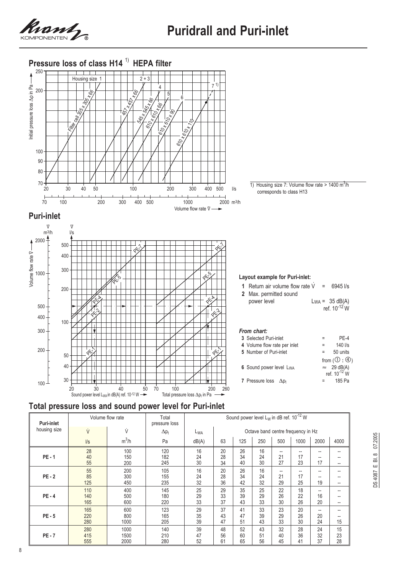





| <b>Puri-inlet</b> |                   | Volume flow rate     | Total<br>pressure loss | Sound power level $L_W$ in dB ref. $10^{-12}$ W |                |                |                                    |                |                   |                |                                                                                  |  |
|-------------------|-------------------|----------------------|------------------------|-------------------------------------------------|----------------|----------------|------------------------------------|----------------|-------------------|----------------|----------------------------------------------------------------------------------|--|
| housing size      | ý                 | ý                    | $\Delta p_t$           | L <sub>WA</sub>                                 |                |                | Octave band centre frequency in Hz |                |                   |                |                                                                                  |  |
|                   | $\sqrt{s}$        | $m^3/h$              | Pa                     | dB(A)                                           | 63             | 125            | 250                                | 500            | 1000              | 2000           | 4000                                                                             |  |
| $PE - 1$          | 28<br>40<br>55    | 100<br>150<br>200    | 120<br>182<br>245      | 16<br>24<br>30                                  | 20<br>28<br>34 | 26<br>34<br>40 | 16<br>24<br>30                     | --<br>21<br>27 | --<br>17<br>23    | --<br>17       | $\overline{\phantom{a}}$<br>$\overline{\phantom{a}}$<br>$\overline{\phantom{a}}$ |  |
| $PE - 2$          | 55<br>85<br>125   | 200<br>300<br>450    | 105<br>155<br>235      | 16<br>24<br>32                                  | 20<br>28<br>36 | 26<br>34<br>42 | 16<br>24<br>32                     | --<br>21<br>29 | $- -$<br>17<br>25 | --<br>--<br>19 | $\overline{\phantom{a}}$<br>$-$<br>$\overline{\phantom{a}}$                      |  |
| $PE - 4$          | 110<br>140<br>165 | 400<br>500<br>600    | 145<br>180<br>220      | 25<br>29<br>33                                  | 29<br>33<br>37 | 35<br>39<br>43 | 25<br>29<br>33                     | 22<br>26<br>30 | 18<br>22<br>26    | --<br>16<br>20 | $\overline{\phantom{a}}$<br>--<br>$\overline{\phantom{a}}$                       |  |
| $PE - 5$          | 165<br>220<br>280 | 600<br>800<br>1000   | 123<br>165<br>205      | 29<br>35<br>39                                  | 37<br>43<br>47 | 41<br>47<br>51 | 33<br>39<br>43                     | 23<br>29<br>33 | 20<br>26<br>30    | --<br>20<br>24 | $\overline{\phantom{a}}$<br>$-$<br>15                                            |  |
| $PE - 7$          | 280<br>415<br>555 | 1000<br>1500<br>2000 | 140<br>210<br>280      | 39<br>47<br>52                                  | 48<br>56<br>61 | 52<br>60<br>65 | 43<br>51<br>56                     | 32<br>40<br>45 | 28<br>36<br>41    | 24<br>32<br>37 | 15<br>23<br>28                                                                   |  |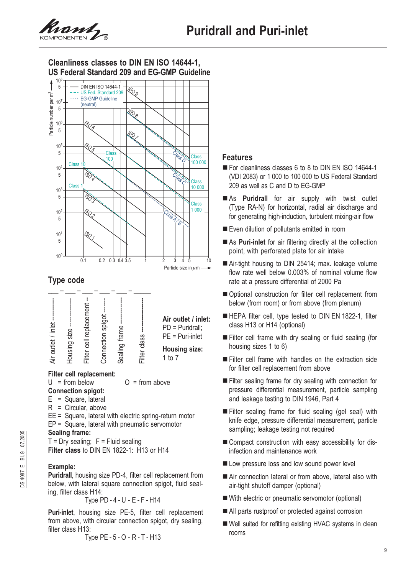



# **Type code**



### **Filter cell replacement:**

 $U = from below$   $O = from above$ 

- **Connection spigot:**
- $E =$  Square, lateral
- R = Circular, above
- EE = Square, lateral with electric spring-return motor

EP = Square, lateral with pneumatic servomotor

### **Sealing frame:**

 $T = Dry$  sealing;  $F = Fluid$  sealing **Filter class** to DIN EN 1822-1: H13 or H14

### **Example:**

**Puridrall**, housing size PD-4, filter cell replacement from below, with lateral square connection spigot, fluid sealing, filter class H14:

Type PD - 4 - U - E - F - H14

**Puri-inlet**, housing size PE-5, filter cell replacement from above, with circular connection spigot, dry sealing, filter class H<sub>13</sub>:

Type PE - 5 - O - R - T - H13

### **Features**

- For cleanliness classes 6 to 8 to DIN EN ISO 14644-1 (VDI 2083) or 1 000 to 100 000 to US Federal Standard 209 as well as C and D to EG-GMP
- As **Puridrall** for air supply with twist outlet (Type RA-N) for horizontal, radial air discharge and for generating high-induction, turbulent mixing-air flow
- Even dilution of pollutants emitted in room
- As **Puri-inlet** for air filtering directly at the collection point, with perforated plate for air intake
- Air-tight housing to DIN 25414; max. leakage volume flow rate well below 0.003% of nominal volume flow rate at a pressure differential of 2000 Pa
- Optional construction for filter cell replacement from below (from room) or from above (from plenum)
- HEPA filter cell, type tested to DIN EN 1822-1, filter class H13 or H14 (optional)
- Filter cell frame with dry sealing or fluid sealing (for housing sizes 1 to 6)
- Filter cell frame with handles on the extraction side for filter cell replacement from above
- Filter sealing frame for dry sealing with connection for pressure differential measurement, particle sampling and leakage testing to DIN 1946, Part 4
- Filter sealing frame for fluid sealing (gel seal) with knife edge, pressure differential measurement, particle sampling; leakage testing not required
- Compact construction with easy accessibility for disinfection and maintenance work
- Low pressure loss and low sound power level
- Air connection lateral or from above, lateral also with air-tight shutoff damper (optional)
- With electric or pneumatic servomotor (optional)
- All parts rustproof or protected against corrosion
- Well suited for refitting existing HVAC systems in clean rooms